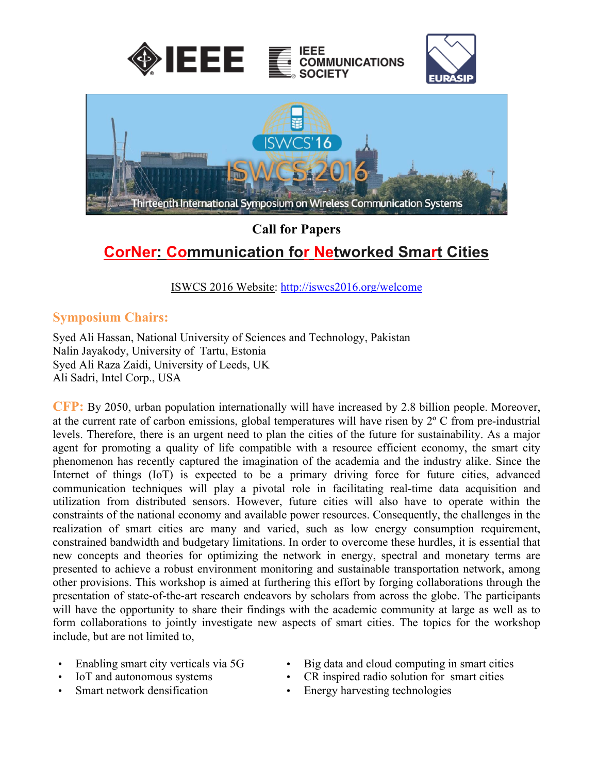

# **Call for Papers CorNer: Communication for Networked Smart Cities**

ISWCS 2016 Website: http://iswcs2016.org/welcome

### **Symposium Chairs:**

Syed Ali Hassan, National University of Sciences and Technology, Pakistan Nalin Jayakody, University of Tartu, Estonia Syed Ali Raza Zaidi, University of Leeds, UK Ali Sadri, Intel Corp., USA

**CFP:** By 2050, urban population internationally will have increased by 2.8 billion people. Moreover, at the current rate of carbon emissions, global temperatures will have risen by 2º C from pre-industrial levels. Therefore, there is an urgent need to plan the cities of the future for sustainability. As a major agent for promoting a quality of life compatible with a resource efficient economy, the smart city phenomenon has recently captured the imagination of the academia and the industry alike. Since the Internet of things (IoT) is expected to be a primary driving force for future cities, advanced communication techniques will play a pivotal role in facilitating real-time data acquisition and utilization from distributed sensors. However, future cities will also have to operate within the constraints of the national economy and available power resources. Consequently, the challenges in the realization of smart cities are many and varied, such as low energy consumption requirement, constrained bandwidth and budgetary limitations. In order to overcome these hurdles, it is essential that new concepts and theories for optimizing the network in energy, spectral and monetary terms are presented to achieve a robust environment monitoring and sustainable transportation network, among other provisions. This workshop is aimed at furthering this effort by forging collaborations through the presentation of state-of-the-art research endeavors by scholars from across the globe. The participants will have the opportunity to share their findings with the academic community at large as well as to form collaborations to jointly investigate new aspects of smart cities. The topics for the workshop include, but are not limited to,

- 
- 
- 
- Enabling smart city verticals via 5G Big data and cloud computing in smart cities
- IoT and autonomous systems CR inspired radio solution for smart cities
	- Smart network densification Energy harvesting technologies